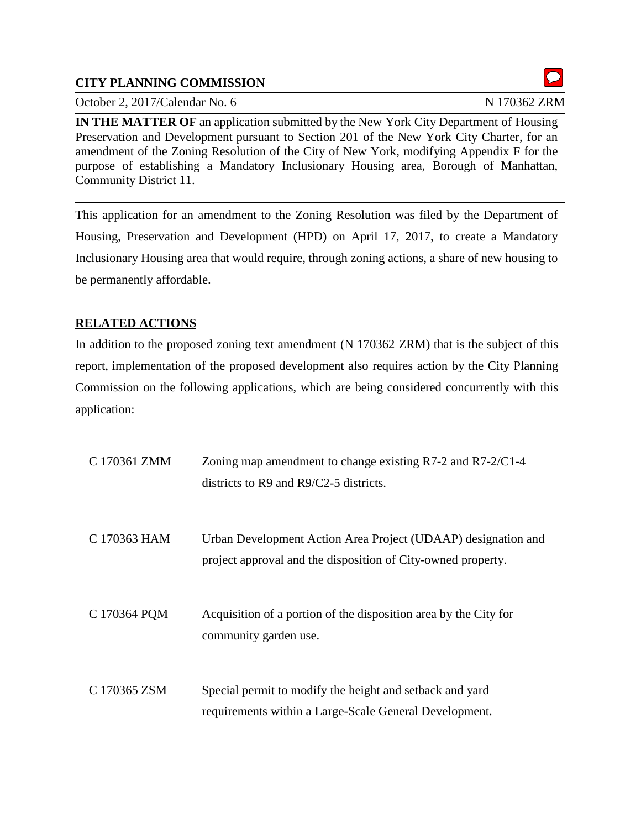## **CITY PLANNING COMMISSION**

October 2, 2017/Calendar No. 6 N 170362 ZRM

**IN THE MATTER OF** an application submitted by the New York City Department of Housing Preservation and Development pursuant to Section 201 of the New York City Charter, for an amendment of the Zoning Resolution of the City of New York, modifying Appendix F for the purpose of establishing a Mandatory Inclusionary Housing area, Borough of Manhattan, Community District 11.

This application for an amendment to the Zoning Resolution was filed by the Department of Housing, Preservation and Development (HPD) on April 17, 2017, to create a Mandatory Inclusionary Housing area that would require, through zoning actions, a share of new housing to be permanently affordable.

# **RELATED ACTIONS**

In addition to the proposed zoning text amendment (N 170362 ZRM) that is the subject of this report, implementation of the proposed development also requires action by the City Planning Commission on the following applications, which are being considered concurrently with this application:

| C 170361 ZMM | Zoning map amendment to change existing $R7-2$ and $R7-2/C1-4$<br>districts to $R9$ and $R9/C2-5$ districts.                  |
|--------------|-------------------------------------------------------------------------------------------------------------------------------|
| C 170363 HAM | Urban Development Action Area Project (UDAAP) designation and<br>project approval and the disposition of City-owned property. |
| C 170364 PQM | Acquisition of a portion of the disposition area by the City for<br>community garden use.                                     |
| C 170365 ZSM | Special permit to modify the height and setback and yard<br>requirements within a Large-Scale General Development.            |

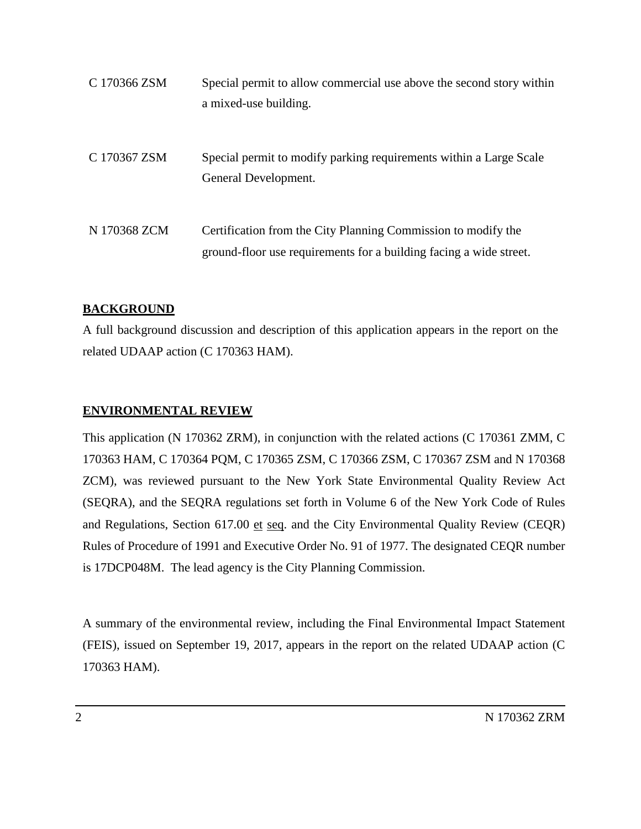| C 170366 ZSM | Special permit to allow commercial use above the second story within<br>a mixed-use building.                                       |
|--------------|-------------------------------------------------------------------------------------------------------------------------------------|
| C 170367 ZSM | Special permit to modify parking requirements within a Large Scale<br>General Development.                                          |
| N 170368 ZCM | Certification from the City Planning Commission to modify the<br>ground-floor use requirements for a building facing a wide street. |

### **BACKGROUND**

A full background discussion and description of this application appears in the report on the related UDAAP action (C 170363 HAM).

## **ENVIRONMENTAL REVIEW**

This application (N 170362 ZRM), in conjunction with the related actions (C 170361 ZMM, C 170363 HAM, C 170364 PQM, C 170365 ZSM, C 170366 ZSM, C 170367 ZSM and N 170368 ZCM), was reviewed pursuant to the New York State Environmental Quality Review Act (SEQRA), and the SEQRA regulations set forth in Volume 6 of the New York Code of Rules and Regulations, Section 617.00 et seq. and the City Environmental Quality Review (CEQR) Rules of Procedure of 1991 and Executive Order No. 91 of 1977. The designated CEQR number is 17DCP048M. The lead agency is the City Planning Commission.

A summary of the environmental review, including the Final Environmental Impact Statement (FEIS), issued on September 19, 2017, appears in the report on the related UDAAP action (C 170363 HAM).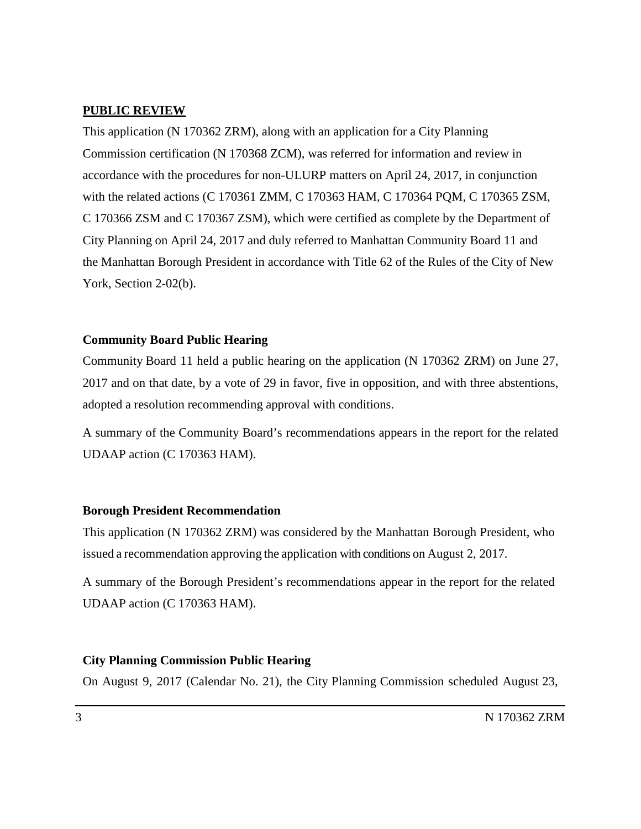### **PUBLIC REVIEW**

This application (N 170362 ZRM), along with an application for a City Planning Commission certification (N 170368 ZCM), was referred for information and review in accordance with the procedures for non-ULURP matters on April 24, 2017, in conjunction with the related actions (C 170361 ZMM, C 170363 HAM, C 170364 PQM, C 170365 ZSM, C 170366 ZSM and C 170367 ZSM), which were certified as complete by the Department of City Planning on April 24, 2017 and duly referred to Manhattan Community Board 11 and the Manhattan Borough President in accordance with Title 62 of the Rules of the City of New York, Section 2-02(b).

### **Community Board Public Hearing**

Community Board 11 held a public hearing on the application (N 170362 ZRM) on June 27, 2017 and on that date, by a vote of 29 in favor, five in opposition, and with three abstentions, adopted a resolution recommending approval with conditions.

A summary of the Community Board's recommendations appears in the report for the related UDAAP action (C 170363 HAM).

#### **Borough President Recommendation**

This application (N 170362 ZRM) was considered by the Manhattan Borough President, who issued a recommendation approving the application with conditions on August 2, 2017.

A summary of the Borough President's recommendations appear in the report for the related UDAAP action (C 170363 HAM).

#### **City Planning Commission Public Hearing**

On August 9, 2017 (Calendar No. 21), the City Planning Commission scheduled August 23,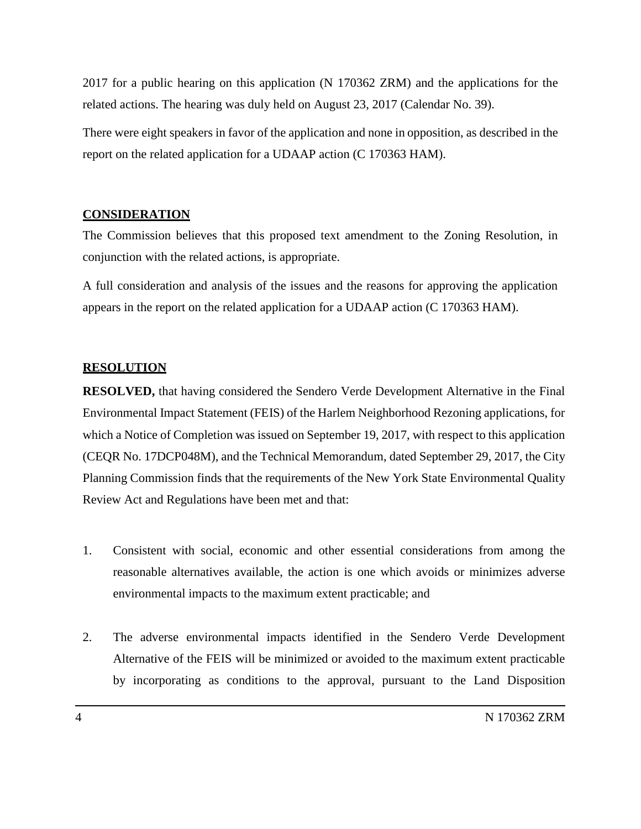2017 for a public hearing on this application (N 170362 ZRM) and the applications for the related actions. The hearing was duly held on August 23, 2017 (Calendar No. 39).

There were eight speakers in favor of the application and none in opposition, as described in the report on the related application for a UDAAP action (C 170363 HAM).

### **CONSIDERATION**

The Commission believes that this proposed text amendment to the Zoning Resolution, in conjunction with the related actions, is appropriate.

A full consideration and analysis of the issues and the reasons for approving the application appears in the report on the related application for a UDAAP action (C 170363 HAM).

#### **RESOLUTION**

**RESOLVED,** that having considered the Sendero Verde Development Alternative in the Final Environmental Impact Statement (FEIS) of the Harlem Neighborhood Rezoning applications, for which a Notice of Completion was issued on September 19, 2017, with respect to this application (CEQR No. 17DCP048M), and the Technical Memorandum, dated September 29, 2017, the City Planning Commission finds that the requirements of the New York State Environmental Quality Review Act and Regulations have been met and that:

- 1. Consistent with social, economic and other essential considerations from among the reasonable alternatives available, the action is one which avoids or minimizes adverse environmental impacts to the maximum extent practicable; and
- 2. The adverse environmental impacts identified in the Sendero Verde Development Alternative of the FEIS will be minimized or avoided to the maximum extent practicable by incorporating as conditions to the approval, pursuant to the Land Disposition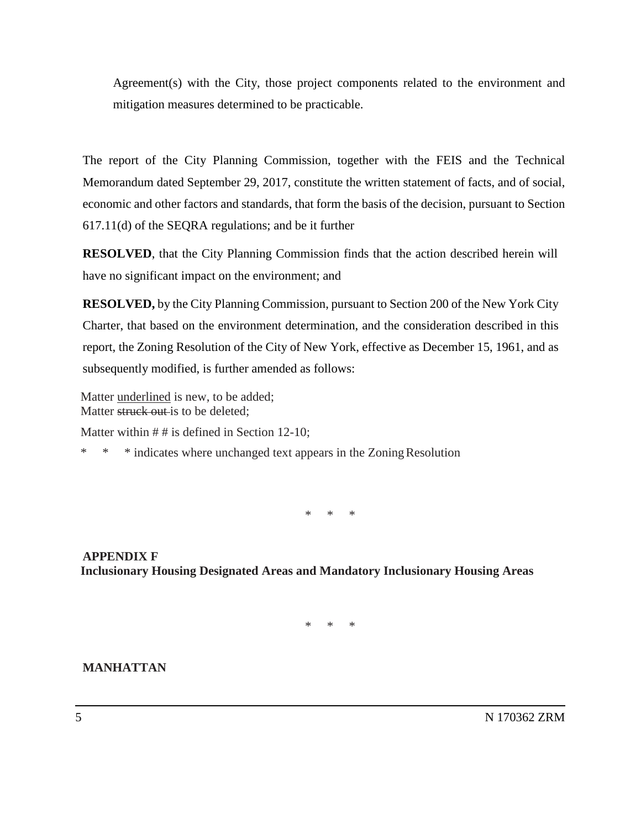Agreement(s) with the City, those project components related to the environment and mitigation measures determined to be practicable.

The report of the City Planning Commission, together with the FEIS and the Technical Memorandum dated September 29, 2017, constitute the written statement of facts, and of social, economic and other factors and standards, that form the basis of the decision, pursuant to Section 617.11(d) of the SEQRA regulations; and be it further

**RESOLVED**, that the City Planning Commission finds that the action described herein will have no significant impact on the environment; and

**RESOLVED,** by the City Planning Commission, pursuant to Section 200 of the New York City Charter, that based on the environment determination, and the consideration described in this report, the Zoning Resolution of the City of New York, effective as December 15, 1961, and as subsequently modified, is further amended as follows:

Matter underlined is new, to be added; Matter struck out is to be deleted:

Matter within  $# #$  is defined in Section 12-10;

\* \* \* indicates where unchanged text appears in the ZoningResolution

\* \* \*

**APPENDIX F Inclusionary Housing Designated Areas and Mandatory Inclusionary Housing Areas**

\* \* \*

### **MANHATTAN**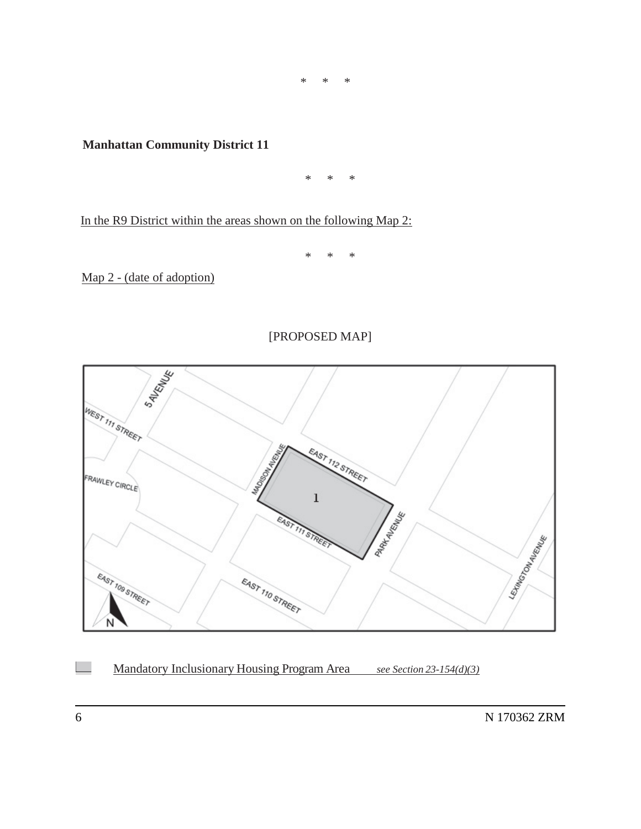\* \* \*

**Manhattan Community District 11**

\* \* \*

In the R9 District within the areas shown on the following Map 2:

\* \* \*

Map 2 - (date of adoption)

## [PROPOSED MAP]



Mandatory Inclusionary Housing Program Area *see Section 23-154(d)(3)*